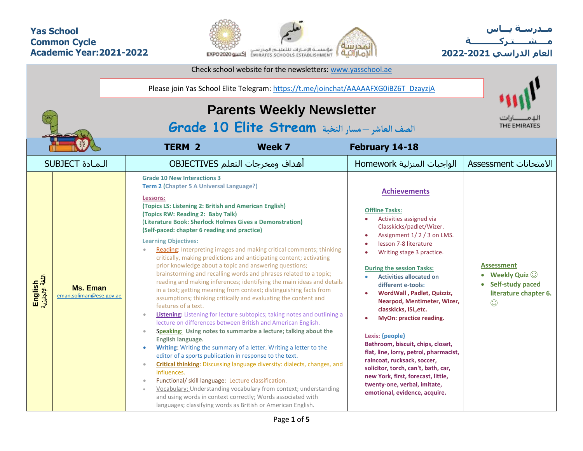## **Yas School Common Cycle Academic Year:2021-2022**



**مــدرسـة يـــاس مــــشـ ـــ ـتـ ركـ ــــــــــ ة العام الدراسي -2021 2022**

| Check school website for the newsletters: www.yasschool.ae |                                            |                                                                                                                                                                                                                                                                                                                                                                                                                                                                                                                                                                                                                                                                          |                                                                                                                                                                                                                                                                                                                                                                                                                                                                                                                                                                                                                                                                                                                                                                                                                                                                                                                                                                                                             |                                                                                                                                                                                                                                                                                                                                                                                                                                                                                                                                                                                                                                                                                                |                                                                                                           |  |  |  |  |  |  |
|------------------------------------------------------------|--------------------------------------------|--------------------------------------------------------------------------------------------------------------------------------------------------------------------------------------------------------------------------------------------------------------------------------------------------------------------------------------------------------------------------------------------------------------------------------------------------------------------------------------------------------------------------------------------------------------------------------------------------------------------------------------------------------------------------|-------------------------------------------------------------------------------------------------------------------------------------------------------------------------------------------------------------------------------------------------------------------------------------------------------------------------------------------------------------------------------------------------------------------------------------------------------------------------------------------------------------------------------------------------------------------------------------------------------------------------------------------------------------------------------------------------------------------------------------------------------------------------------------------------------------------------------------------------------------------------------------------------------------------------------------------------------------------------------------------------------------|------------------------------------------------------------------------------------------------------------------------------------------------------------------------------------------------------------------------------------------------------------------------------------------------------------------------------------------------------------------------------------------------------------------------------------------------------------------------------------------------------------------------------------------------------------------------------------------------------------------------------------------------------------------------------------------------|-----------------------------------------------------------------------------------------------------------|--|--|--|--|--|--|
|                                                            |                                            | Please join Yas School Elite Telegram: https://t.me/joinchat/AAAAAFXG0iBZ6T_DzayzjA<br><b>Parents Weekly Newsletter</b>                                                                                                                                                                                                                                                                                                                                                                                                                                                                                                                                                  |                                                                                                                                                                                                                                                                                                                                                                                                                                                                                                                                                                                                                                                                                                                                                                                                                                                                                                                                                                                                             |                                                                                                                                                                                                                                                                                                                                                                                                                                                                                                                                                                                                                                                                                                |                                                                                                           |  |  |  |  |  |  |
|                                                            |                                            | الصف العاشر -مسار النخبة Grade 10 Elite Stream                                                                                                                                                                                                                                                                                                                                                                                                                                                                                                                                                                                                                           | ــا؛ اتــ<br>THE EMIRATES                                                                                                                                                                                                                                                                                                                                                                                                                                                                                                                                                                                                                                                                                                                                                                                                                                                                                                                                                                                   |                                                                                                                                                                                                                                                                                                                                                                                                                                                                                                                                                                                                                                                                                                |                                                                                                           |  |  |  |  |  |  |
|                                                            |                                            | <b>TERM 2</b>                                                                                                                                                                                                                                                                                                                                                                                                                                                                                                                                                                                                                                                            | Week 7                                                                                                                                                                                                                                                                                                                                                                                                                                                                                                                                                                                                                                                                                                                                                                                                                                                                                                                                                                                                      | February 14-18                                                                                                                                                                                                                                                                                                                                                                                                                                                                                                                                                                                                                                                                                 |                                                                                                           |  |  |  |  |  |  |
| <b>SUBJECT</b> المادة                                      |                                            |                                                                                                                                                                                                                                                                                                                                                                                                                                                                                                                                                                                                                                                                          | أهداف ومخرجات التعلم OBJECTIVES                                                                                                                                                                                                                                                                                                                                                                                                                                                                                                                                                                                                                                                                                                                                                                                                                                                                                                                                                                             | الواجبات المنزلية Homework                                                                                                                                                                                                                                                                                                                                                                                                                                                                                                                                                                                                                                                                     | الامتحانات Assessment                                                                                     |  |  |  |  |  |  |
| English<br>اللغة الإنجليزية                                | <b>Ms. Eman</b><br>eman.soliman@ese.gov.ae | <b>Grade 10 New Interactions 3</b><br>Term 2 (Chapter 5 A Universal Language?)<br>Lessons:<br>(Topics LS: Listening 2: British and American English)<br>(Topics RW: Reading 2: Baby Talk)<br>(Literature Book: Sherlock Holmes Gives a Demonstration)<br>(Self-paced: chapter 6 reading and practice)<br><b>Learning Objectives:</b><br>prior knowledge about a topic and answering questions;<br>features of a text.<br>$\bullet$<br>English language.<br>$\bullet$<br>editor of a sports publication in response to the text.<br>$\qquad \qquad \bullet$<br>influences.<br>Functional/ skill language: Lecture classification.<br>$\qquad \qquad \bullet$<br>$\bullet$ | Reading: Interpreting images and making critical comments; thinking<br>critically, making predictions and anticipating content; activating<br>brainstorming and recalling words and phrases related to a topic;<br>reading and making inferences; identifying the main ideas and details<br>in a text; getting meaning from context; distinguishing facts from<br>assumptions; thinking critically and evaluating the content and<br>Listening: Listening for lecture subtopics; taking notes and outlining a<br>lecture on differences between British and American English.<br>Speaking: Using notes to summarize a lecture; talking about the<br>Writing: Writing the summary of a letter. Writing a letter to the<br><b>Critical thinking:</b> Discussing language diversity: dialects, changes, and<br>Vocabulary: Understanding vocabulary from context; understanding<br>and using words in context correctly; Words associated with<br>languages; classifying words as British or American English. | <b>Achievements</b><br><b>Offline Tasks:</b><br>Activities assigned via<br>$\bullet$<br>Classkicks/padlet/Wizer.<br>Assignment 1/2/3 on LMS.<br>lesson 7-8 literature<br>Writing stage 3 practice.<br><b>During the session Tasks:</b><br><b>Activities allocated on</b><br>different e-tools:<br>WordWall, Padlet, Quizziz,<br>Nearpod, Mentimeter, Wizer,<br>classkicks, ISL, etc.<br>MyOn: practice reading.<br>Lexis: {people}<br>Bathroom, biscuit, chips, closet,<br>flat, line, lorry, petrol, pharmacist,<br>raincoat, rucksack, soccer,<br>solicitor, torch, can't, bath, car,<br>new York, first, forecast, little,<br>twenty-one, verbal, imitate,<br>emotional, evidence, acquire. | <b>Assessment</b><br>• Weekly Quiz $\odot$<br><b>Self-study paced</b><br>literature chapter 6.<br>$\odot$ |  |  |  |  |  |  |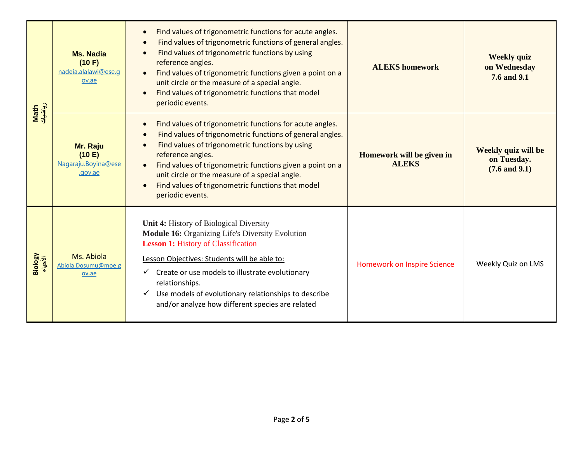| Math<br>ریاضیات    | <b>Ms. Nadia</b><br>(10 F)<br>nadeia.alalawi@ese.q<br>ov.ae | Find values of trigonometric functions for acute angles.<br>$\bullet$<br>Find values of trigonometric functions of general angles.<br>Find values of trigonometric functions by using<br>$\epsilon$<br>reference angles.<br>Find values of trigonometric functions given a point on a<br>unit circle or the measure of a special angle.<br>Find values of trigonometric functions that model<br>$\bullet$<br>periodic events. | <b>ALEKS</b> homework                     | <b>Weekly quiz</b><br>on Wednesday<br>7.6 and 9.1       |  |  |  |
|--------------------|-------------------------------------------------------------|-------------------------------------------------------------------------------------------------------------------------------------------------------------------------------------------------------------------------------------------------------------------------------------------------------------------------------------------------------------------------------------------------------------------------------|-------------------------------------------|---------------------------------------------------------|--|--|--|
|                    | Mr. Raju<br>(10 E)<br>Nagaraju.Boyina@ese<br>.gov.ae        | Find values of trigonometric functions for acute angles.<br>$\bullet$<br>Find values of trigonometric functions of general angles.<br>$\bullet$<br>Find values of trigonometric functions by using<br>reference angles.<br>Find values of trigonometric functions given a point on a<br>unit circle or the measure of a special angle.<br>Find values of trigonometric functions that model<br>$\bullet$<br>periodic events.  | Homework will be given in<br><b>ALEKS</b> | Weekly quiz will be<br>on Tuesday.<br>$(7.6$ and $9.1)$ |  |  |  |
| Biology<br>الأحياء | Ms. Abiola<br>Abiola.Dosumu@moe.g<br>ov.ae                  | Unit 4: History of Biological Diversity<br>Module 16: Organizing Life's Diversity Evolution<br><b>Lesson 1: History of Classification</b><br>Lesson Objectives: Students will be able to:<br>Create or use models to illustrate evolutionary<br>relationships.<br>Use models of evolutionary relationships to describe<br>✓<br>and/or analyze how different species are related                                               | Homework on Inspire Science               | Weekly Quiz on LMS                                      |  |  |  |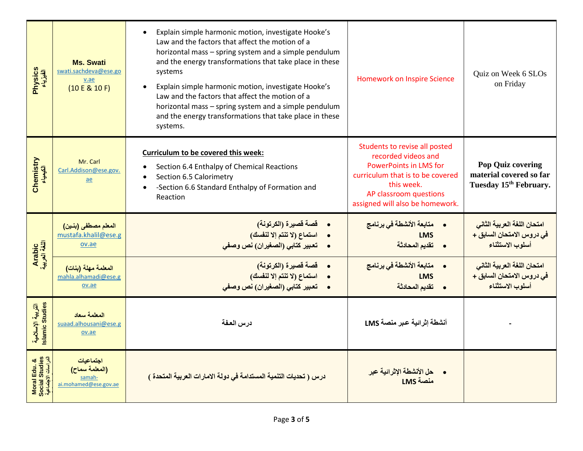| Physics<br>الفیزیاء                                   | <b>Ms. Swati</b><br>swati.sachdeva@ese.go<br>v.ae<br>(10 E & 10 F) | Explain simple harmonic motion, investigate Hooke's<br>$\bullet$<br>Law and the factors that affect the motion of a<br>horizontal mass - spring system and a simple pendulum<br>and the energy transformations that take place in these<br>systems<br>Explain simple harmonic motion, investigate Hooke's<br>$\bullet$<br>Law and the factors that affect the motion of a<br>horizontal mass - spring system and a simple pendulum<br>and the energy transformations that take place in these<br>systems. | <b>Homework on Inspire Science</b>                                                                                                                                                                   | Quiz on Week 6 SLOs<br>on Friday                                                          |
|-------------------------------------------------------|--------------------------------------------------------------------|-----------------------------------------------------------------------------------------------------------------------------------------------------------------------------------------------------------------------------------------------------------------------------------------------------------------------------------------------------------------------------------------------------------------------------------------------------------------------------------------------------------|------------------------------------------------------------------------------------------------------------------------------------------------------------------------------------------------------|-------------------------------------------------------------------------------------------|
| Chemistry<br>الكيمياء                                 | Mr. Carl<br>Carl.Addison@ese.gov.<br>ae                            | Curriculum to be covered this week:<br>Section 6.4 Enthalpy of Chemical Reactions<br>Section 6.5 Calorimetry<br>-Section 6.6 Standard Enthalpy of Formation and<br>Reaction                                                                                                                                                                                                                                                                                                                               | Students to revise all posted<br>recorded videos and<br><b>PowerPoints in LMS for</b><br>curriculum that is to be covered<br>this week.<br>AP classroom questions<br>assigned will also be homework. | <b>Pop Quiz covering</b><br>material covered so far<br>Tuesday 15 <sup>th</sup> February. |
| Arabic<br>اللغة العربية                               | المعلم مصطفى (بنين)<br>mustafa.khalil@ese.g<br>ov.ae               | <b>.      قصة قصيرة (الكرتونة)</b><br>استماع (لا تنتم إلا لنفسك)<br>•     تعبير كتابي (الصغيران) نص وصفى                                                                                                                                                                                                                                                                                                                                                                                                  | •      متابعة الأنشطة في برنامج<br><b>LMS</b><br>• تقديم المحادثة                                                                                                                                    | امتحان اللغة العربية الثاني<br>في دروس الامتحان السابق +<br>أسلوب الاستثناء               |
|                                                       | المعلمة مهلة (بنات)<br>mahla.alhamadi@ese.g<br>ov.ae               | •     قصة قصيرة (الكرتونة <mark>)</mark><br>استماع (لا تنتم إلا لنفسك)<br>•     تعبير كتابي (الصغيران) نص وصفي                                                                                                                                                                                                                                                                                                                                                                                            | •     متابعة الأنشطة في برنامج<br><b>LMS</b><br>• تقديم المحادثة                                                                                                                                     | امتحان اللغة العربية الثاني<br>في دروس الامتحان السابق +<br>أسلوب الاستثناء               |
| التربية الإسلامية<br>Islamic Studies                  | المعلمة سعاد<br>suaad.alhousani@ese.g<br>ov.ae                     | درس العفة                                                                                                                                                                                                                                                                                                                                                                                                                                                                                                 | أنشطة إثرائية عبر منصة LMS                                                                                                                                                                           |                                                                                           |
| Moral Edu. &<br>Social Studies<br>الدراسات الاجتماعية | احتماعيات<br>(المعلمة سماح)<br>samah<br>ai.mohamed@ese.gov.ae      | درس ( تحديات التنمية المستدامة في دولة الامارات العربية المتحدة )                                                                                                                                                                                                                                                                                                                                                                                                                                         | <mark>حل الأنشطة الإثرائية عبر</mark><br>منصة LMS                                                                                                                                                    |                                                                                           |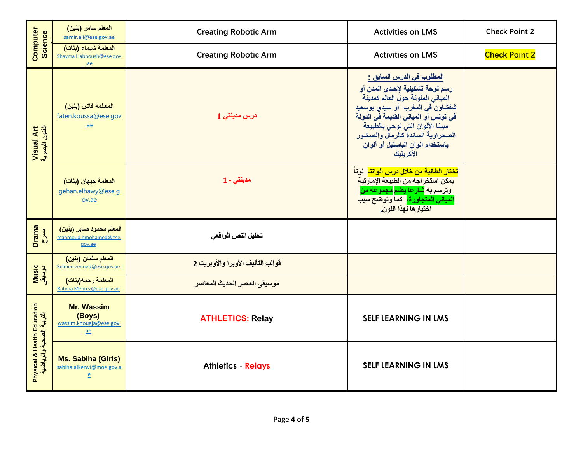|                                                         | المعلم سامر (بنين)<br>samir.ali@ese.gov.ae                                 | <b>Creating Robotic Arm</b>       | <b>Activities on LMS</b>                                                                                                                                                                                                                                                                                       | <b>Check Point 2</b> |
|---------------------------------------------------------|----------------------------------------------------------------------------|-----------------------------------|----------------------------------------------------------------------------------------------------------------------------------------------------------------------------------------------------------------------------------------------------------------------------------------------------------------|----------------------|
| Computer<br>Science                                     | المعلمة شيماء (بنات)<br>Shayma.Habboush@ese.gov<br>$a$ e                   | <b>Creating Robotic Arm</b>       | <b>Activities on LMS</b>                                                                                                                                                                                                                                                                                       | <b>Check Point 2</b> |
| Visual Art<br>الفئون البصرية                            | المعلمة فاتن (بنين)<br>faten.koussa@ese.gov<br>$a$ e                       | درس مدينتي 1                      | المطلوب في الدرس السابق <u>:</u><br>رسم لوحة تشكيلية لإحدى المدن أو<br>المبانى الملونة حول العالم كمدينة<br>شفشاون في المغرب أو سيدي بوسعيد<br>فى تونس أو المبانى القديمة فَى الدولة<br>مبينا الألوان التي توحي بالطبيعة<br>الصحراوية السائدة كالرمال والصخور<br>باستخدام الوان الباستيل أو ألوان<br>الأكريليك |                      |
|                                                         | المعلمة جيهان (بنات)<br>gehan.elhawy@ese.g<br>ov.ae                        | مدينتى - 1                        | <mark>تختار الطالبة من خلال درس ألواننا</mark> لوناً<br>يمكن استخراجه من الطبيعة الإمارتية<br><mark>وترسم به <mark>ش</mark>ارعا <b>يضم <mark>مجمو</mark>عة من</b></mark><br>المباني المتجاورة، كما وتوضح سبب<br>اختيار ها لهذا اللون.                                                                          |                      |
| <b>Drama</b><br><b>Buth</b>                             | المعلم محمود صابر (بنين)<br>mahmoud.hmohamed@ese.<br>gov.ae                | تحليل النص الواقعى                |                                                                                                                                                                                                                                                                                                                |                      |
|                                                         | المعلم سلمان (بنين)<br>Selmen.zenned@ese.gov.ae                            | قوالب التأليف الأوبرا والأوبريت 2 |                                                                                                                                                                                                                                                                                                                |                      |
| Music<br>موسیقی                                         | المعلمة رحمه(بنات)<br>Rahma.Mehrez@ese.gov.ae                              | موسيقى العصر الحديث المعاصر       |                                                                                                                                                                                                                                                                                                                |                      |
| Physical & Health Education<br>التربية الصحية والرياضية | <b>Mr. Wassim</b><br>(Boys)<br>wassim.khouaja@ese.gov.<br>$\underline{ae}$ | <b>ATHLETICS: Relay</b>           | <b>SELF LEARNING IN LMS</b>                                                                                                                                                                                                                                                                                    |                      |
|                                                         | <b>Ms. Sabiha (Girls)</b><br>sabiha.alkerwi@moe.gov.a<br>$\overline{e}$    | <b>Athletics - Relays</b>         | <b>SELF LEARNING IN LMS</b>                                                                                                                                                                                                                                                                                    |                      |